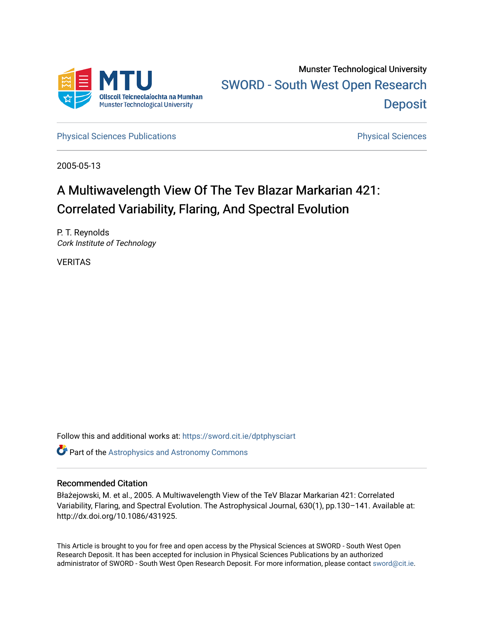

[Physical Sciences Publications](https://sword.cit.ie/dptphysciart) **Physical Sciences** Physical Sciences

2005-05-13

# A Multiwavelength View Of The Tev Blazar Markarian 421: Correlated Variability, Flaring, And Spectral Evolution

P. T. Reynolds Cork Institute of Technology

VERITAS

Follow this and additional works at: [https://sword.cit.ie/dptphysciart](https://sword.cit.ie/dptphysciart?utm_source=sword.cit.ie%2Fdptphysciart%2F34&utm_medium=PDF&utm_campaign=PDFCoverPages)

**Part of the Astrophysics and Astronomy Commons** 

# Recommended Citation

Błażejowski, M. et al., 2005. A Multiwavelength View of the TeV Blazar Markarian 421: Correlated Variability, Flaring, and Spectral Evolution. The Astrophysical Journal, 630(1), pp.130–141. Available at: http://dx.doi.org/10.1086/431925.

This Article is brought to you for free and open access by the Physical Sciences at SWORD - South West Open Research Deposit. It has been accepted for inclusion in Physical Sciences Publications by an authorized administrator of SWORD - South West Open Research Deposit. For more information, please contact [sword@cit.ie.](mailto:sword@cit.ie)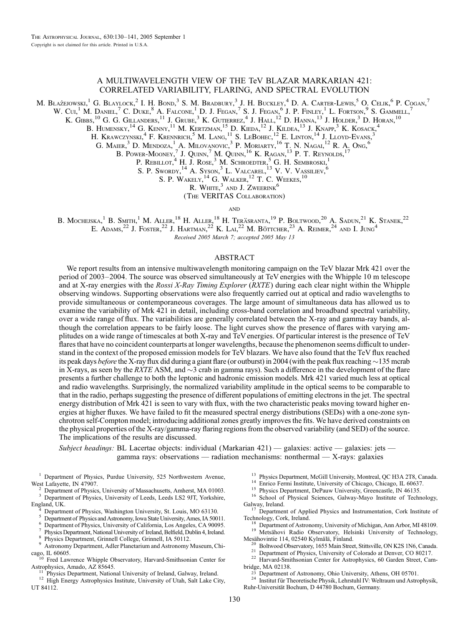# A MULTIWAVELENGTH VIEW OF THE TeV BLAZAR MARKARIAN 421: CORRELATED VARIABILITY, FLARING, AND SPECTRAL EVOLUTION

M. Błażejowski, $^1$  G. Blaylock, $^2$  I. H. Bond, $^3$  S. M. Bradbury, $^3$  J. H. Buckley, $^4$  D. A. Carter-Lewis, $^5$  O. Celik, $^6$  P. Cogan, $^7$ 

W. Cui,<sup>1</sup> M. Daniel,<sup>7</sup> C. Duke,<sup>8</sup> A. Falcone,<sup>1</sup> D. J. Fegan,<sup>7</sup> S. J. Fegan,<sup>6</sup> J. P. Finley,<sup>1</sup> L. Fortson,<sup>9</sup> S. Gammell,<sup>7</sup>

K. GIBBS,  $^{10}$  G. G. Gillanders,  $^{11}$  J. Grube,  $^{3}$  K. Gutierrez,  $^{4}$  J. Hall,  $^{12}$  D. Hanna,  $^{13}$  J. Holder,  $^{3}$  D. Horan,  $^{10}$ 

B. Humensky,  $^{14}$  G. Kenny,  $^{11}$  M. Kertzman,  $^{15}$  D. Kieda,  $^{12}$  J. Kildea,  $^{13}$  J. Knapp,  $^{3}$  K. Kosack,  $^{4}$ 

H. Krawczynski, <sup>4</sup> F. Krennrich, <sup>5</sup> M. Lang, <sup>11</sup> S. LeBohec, <sup>12</sup> E. Linton, <sup>14</sup> J. Lloyd-Evans, <sup>3</sup>

G. MAIER, <sup>3</sup> D. MENDOZA, <sup>1</sup> A. MILOVANOVIC, <sup>3</sup> P. MORIARTY, <sup>16</sup> T. N. NAGAI, <sup>12</sup> R. A. Ong, <sup>6</sup>

B. Power-Mooney,<sup>7</sup> J. Quinn,<sup>7</sup> M. Quinn,<sup>16</sup> K. Ragan,<sup>13</sup> P. T. Reynolds,<sup>17</sup>

P. REBILLOT.<sup>4</sup> H. J. ROSE.<sup>3</sup> M. SCHROEDTER.<sup>5</sup> G. H. SEMBROSKI.<sup>1</sup>

S. P. Swordy,  $^{14}$  A. Syson,  $^3$  L. Valcarel,  $^{13}$  V. V. Vassiliev,  $^{6}$ 

S. P. WAKELY,  $^{14}$  G. WALKER,  $^{12}$  T. C. WEEKES,  $^{10}$ 

R. WHITE. $^3$  and J. Zweerink<sup>6</sup>

(The VERITAS Collaboration)

**AND** 

B. Mochejska,<sup>1</sup> B. Smith,<sup>1</sup> M. Aller,<sup>18</sup> H. Aller,<sup>18</sup> H. Teräsranta,<sup>19</sup> P. Boltwood,<sup>20</sup> A. Sadun,<sup>21</sup> K. Stanek,<sup>22</sup> E. Adams.<sup>22</sup> J. Foster,<sup>22</sup> J. Hartman,<sup>22</sup> K. Lal<sup>22</sup> M. Böttcher,<sup>23</sup> A. Reimer,<sup>24</sup> and I. Jung<sup>4</sup>

Received 2005 March 7; accepted 2005 May 13

# ABSTRACT

We report results from an intensive multiwavelength monitoring campaign on the TeV blazar Mrk 421 over the period of 2003–2004. The source was observed simultaneously at TeV energies with the Whipple 10 m telescope and at X-ray energies with the Rossi X-Ray Timing Explorer (RXTE) during each clear night within the Whipple observing windows. Supporting observations were also frequently carried out at optical and radio wavelengths to provide simultaneous or contemporaneous coverages. The large amount of simultaneous data has allowed us to examine the variability of Mrk 421 in detail, including cross-band correlation and broadband spectral variability, over a wide range of flux. The variabilities are generally correlated between the X-ray and gamma-ray bands, although the correlation appears to be fairly loose. The light curves show the presence of flares with varying amplitudes on a wide range of timescales at both X-ray and TeV energies. Of particular interest is the presence of TeV flares that have no coincident counterparts at longer wavelengths, because the phenomenon seems difficult to understand in the context of the proposed emission models for TeV blazars. We have also found that the TeV flux reached its peak days *before* the X-ray flux did during a giant flare (or outburst) in 2004 (with the peak flux reaching  $\sim$  135 mcrab in X-rays, as seen by the RXTE ASM, and  $\sim$ 3 crab in gamma rays). Such a difference in the development of the flare presents a further challenge to both the leptonic and hadronic emission models. Mrk 421 varied much less at optical and radio wavelengths. Surprisingly, the normalized variability amplitude in the optical seems to be comparable to that in the radio, perhaps suggesting the presence of different populations of emitting electrons in the jet. The spectral energy distribution of Mrk 421 is seen to vary with flux, with the two characteristic peaks moving toward higher energies at higher fluxes. We have failed to fit the measured spectral energy distributions (SEDs) with a one-zone synchrotron self-Compton model; introducing additional zones greatly improves the fits. We have derived constraints on the physical properties of the X-ray/gamma-ray flaring regions from the observed variability (and SED) of the source. The implications of the results are discussed.

Subject headings: BL Lacertae objects: individual (Markarian 421) — galaxies: active — galaxies: jets gamma rays: observations — radiation mechanisms: nonthermal — X-rays: galaxies

<sup>1</sup> Department of Physics, Purdue University, 525 Northwestern Avenue, West Lafayette, IN 47907.

<sup>2</sup> Department of Physics, University of Massachusetts, Amherst, MA 01003.  $\frac{3}{3}$  Department of Physics, University of Leeds, Leeds LS2 9JT, Yorkshire, England, UK.

Department of Physics, Washington University, St. Louis, MO 63130.<br>Department of Physics and Astronomy, Iowa State University, Ames, IA 50011.<br>Department of Physics, University of California, Los Angeles, CA 90095.<br>Physics

cago, IL 60605.<br><sup>10</sup> Fred Lawrence Whipple Observatory, Harvard-Smithsonian Center for Astrophysics, Amado, AZ 85645.

<sup>11</sup> Physics Department, National University of Ireland, Galway, Ireland.  $^{12}$  High Energy Astrophysics Institute, University of Utah, Salt Lake City, UT 84112.

<sup>13</sup> Physics Department, McGill University, Montreal, QC H3A 2T8, Canada.<br><sup>14</sup> Enrico Fermi Institute, University of Chicago, Chicago, IL 60637.<br><sup>15</sup> Physics Department, DePauw University, Greencastle, IN 46135.<br><sup>16</sup> Scho

<sup>17</sup> Department of Applied Physics and Instrumentation, Cork Institute of

Technology, Cork, Ireland. 18 Department of Astronomy, University of Michigan, Ann Arbor, MI 48109. 19 Metsähovi Radio Observatory, Helsinki University of Technology,

Mesähovintie 114, 02540 Kylmälä, Finland.<br><sup>20</sup> Boltwood Observatory, 1655 Main Street, Stittsville, ON K2S 1N6, Canada.<br><sup>21</sup> Department of Physics, University of Colorado at Denver, CO 80217.<br><sup>22</sup> Harvard-Smithsonian Cente

bridge, MA 02138.<br><sup>23</sup> Department of Astronomy, Ohio University, Athens, OH 05701.

<sup>24</sup> Institut für Theoretische Physik, Lehrstuhl IV: Weltraum und Astrophysik, Ruhr-Universität Bochum, D 44780 Bochum, Germany.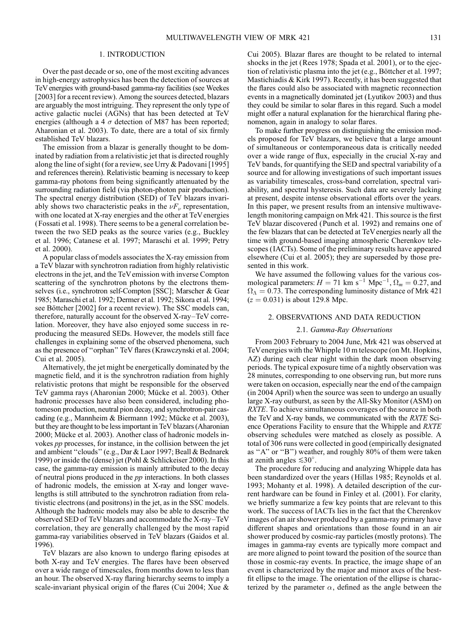# 1. INTRODUCTION

Over the past decade or so, one of the most exciting advances in high-energy astrophysics has been the detection of sources at TeV energies with ground-based gamma-ray facilities (see Weekes [2003] for a recent review). Among the sources detected, blazars are arguably the most intriguing. They represent the only type of active galactic nuclei (AGNs) that has been detected at TeV energies (although a 4  $\sigma$  detection of M87 has been reported; Aharonian et al. 2003). To date, there are a total of six firmly established TeV blazars.

The emission from a blazar is generally thought to be dominated by radiation from a relativistic jet that is directed roughly along the line of sight (for a review, see Urry & Padovani [1995] and references therein). Relativistic beaming is necessary to keep gamma-ray photons from being significantly attenuated by the surrounding radiation field (via photon-photon pair production). The spectral energy distribution (SED) of TeV blazars invariably shows two characteristic peaks in the  $\nu F_{\nu}$  representation, with one located at X-ray energies and the other at TeV energies (Fossati et al. 1998). There seems to be a general correlation between the two SED peaks as the source varies (e.g., Buckley et al. 1996; Catanese et al. 1997; Maraschi et al. 1999; Petry et al. 2000).

A popular class of models associates the X-ray emission from a TeV blazar with synchrotron radiation from highly relativistic electrons in the jet, and the TeVemission with inverse Compton scattering of the synchrotron photons by the electrons themselves (i.e., synchrotron self-Compton [SSC]; Marscher & Gear 1985; Maraschi et al. 1992; Dermer et al. 1992; Sikora et al. 1994; see Böttcher [2002] for a recent review). The SSC models can, therefore, naturally account for the observed X-ray–TeV correlation. Moreover, they have also enjoyed some success in reproducing the measured SEDs. However, the models still face challenges in explaining some of the observed phenomena, such as the presence of ''orphan'' TeV flares (Krawczynski et al. 2004; Cui et al. 2005).

Alternatively, the jet might be energetically dominated by the magnetic field, and it is the synchrotron radiation from highly relativistic protons that might be responsible for the observed TeV gamma rays (Aharonian 2000; Mücke et al. 2003). Other hadronic processes have also been considered, including photomeson production, neutral pion decay, and synchrotron-pair cascading (e.g., Mannheim & Biermann 1992; Mücke et al. 2003), but they are thought to be less important in TeV blazars (Aharonian 2000; Mücke et al. 2003). Another class of hadronic models invokes pp processes, for instance, in the collision between the jet and ambient ''clouds'' (e.g., Dar & Laor 1997; Beall & Bednarek 1999) or inside the (dense) jet (Pohl & Schlickeiser 2000). In this case, the gamma-ray emission is mainly attributed to the decay of neutral pions produced in the pp interactions. In both classes of hadronic models, the emission at X-ray and longer wavelengths is still attributed to the synchrotron radiation from relativistic electrons (and positrons) in the jet, as in the SSC models. Although the hadronic models may also be able to describe the observed SED of TeV blazars and accommodate the X-ray–TeV correlation, they are generally challenged by the most rapid gamma-ray variabilities observed in TeV blazars (Gaidos et al. 1996).

TeV blazars are also known to undergo flaring episodes at both X-ray and TeV energies. The flares have been observed over a wide range of timescales, from months down to less than an hour. The observed X-ray flaring hierarchy seems to imply a scale-invariant physical origin of the flares (Cui 2004; Xue & Cui 2005). Blazar flares are thought to be related to internal shocks in the jet (Rees 1978; Spada et al. 2001), or to the ejection of relativistic plasma into the jet (e.g., Böttcher et al. 1997; Mastichiadis & Kirk 1997). Recently, it has been suggested that the flares could also be associated with magnetic reconnection events in a magnetically dominated jet (Lyutikov 2003) and thus they could be similar to solar flares in this regard. Such a model might offer a natural explanation for the hierarchical flaring phenomenon, again in analogy to solar flares.

To make further progress on distinguishing the emission models proposed for TeV blazars, we believe that a large amount of simultaneous or contemporaneous data is critically needed over a wide range of flux, especially in the crucial X-ray and TeV bands, for quantifying the SED and spectral variability of a source and for allowing investigations of such important issues as variability timescales, cross-band correlation, spectral variability, and spectral hysteresis. Such data are severely lacking at present, despite intense observational efforts over the years. In this paper, we present results from an intensive multiwavelength monitoring campaign on Mrk 421. This source is the first TeV blazar discovered (Punch et al. 1992) and remains one of the few blazars that can be detected at TeV energies nearly all the time with ground-based imaging atmospheric Cherenkov telescopes ( IACTs). Some of the preliminary results have appeared elsewhere (Cui et al. 2005); they are superseded by those presented in this work.

We have assumed the following values for the various cosmological parameters:  $H = 71 \text{ km s}^{-1} \text{ Mpc}^{-1}, \Omega_m = 0.27$ , and  $\Omega_{\Lambda} = 0.73$ . The corresponding luminosity distance of Mrk 421  $(z = 0.031)$  is about 129.8 Mpc.

# 2. OBSERVATIONS AND DATA REDUCTION

# 2.1. Gamma-Ray Observations

From 2003 February to 2004 June, Mrk 421 was observed at TeVenergies with the Whipple 10 m telescope (on Mt. Hopkins, AZ) during each clear night within the dark moon observing periods. The typical exposure time of a nightly observation was 28 minutes, corresponding to one observing run, but more runs were taken on occasion, especially near the end of the campaign (in 2004 April) when the source was seen to undergo an usually large X-ray outburst, as seen by the All-Sky Monitor (ASM) on RXTE. To achieve simultaneous coverages of the source in both the TeV and X-ray bands, we communicated with the RXTE Science Operations Facility to ensure that the Whipple and RXTE observing schedules were matched as closely as possible. A total of 306 runs were collected in good (empirically designated as ''A'' or ''B'') weather, and roughly 80% of them were taken at zenith angles  $\leq 30^\circ$ .

The procedure for reducing and analyzing Whipple data has been standardized over the years (Hillas 1985; Reynolds et al. 1993; Mohanty et al. 1998). A detailed description of the current hardware can be found in Finley et al. (2001). For clarity, we briefly summarize a few key points that are relevant to this work. The success of IACTs lies in the fact that the Cherenkov images of an air shower produced by a gamma-ray primary have different shapes and orientations than those found in an air shower produced by cosmic-ray particles (mostly protons). The images in gamma-ray events are typically more compact and are more aligned to point toward the position of the source than those in cosmic-ray events. In practice, the image shape of an event is characterized by the major and minor axes of the bestfit ellipse to the image. The orientation of the ellipse is characterized by the parameter  $\alpha$ , defined as the angle between the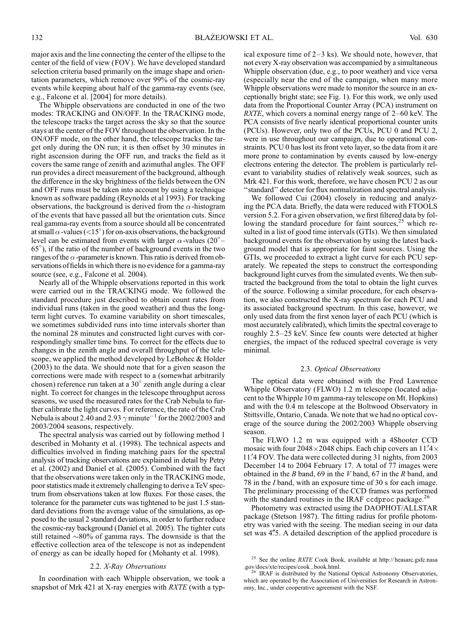major axis and the line connecting the center of the ellipse to the center of the field of view (FOV ). We have developed standard selection criteria based primarily on the image shape and orientation parameters, which remove over 99% of the cosmic-ray events while keeping about half of the gamma-ray events (see, e.g., Falcone et al. [2004] for more details).

The Whipple observations are conducted in one of the two modes: TRACKING and ON/OFF. In the TRACKING mode, the telescope tracks the target across the sky so that the source stays at the center of the FOV throughout the observation. In the ON/OFF mode, on the other hand, the telescope tracks the target only during the ON run; it is then offset by 30 minutes in right ascension during the OFF run, and tracks the field as it covers the same range of zenith and azimuthal angles. The OFF run provides a direct measurement of the background, although the difference in the sky brightness of the fields between the ON and OFF runs must be taken into account by using a technique known as software padding (Reynolds et al 1993). For tracking observations, the background is derived from the  $\alpha$ -histogram of the events that have passed all but the orientation cuts. Since real gamma-ray events from a source should all be concentrated at small  $\alpha$ -values (<15°) for on-axis observations, the background level can be estimated from events with larger  $\alpha$ -values (20° – 65 ), if the ratio of the number of background events in the two ranges of the  $\alpha$ -parameter is known. This ratio is derived from observations of fields in which there is no evidence for a gamma-ray source (see, e.g., Falcone et al. 2004).

Nearly all of the Whipple observations reported in this work were carried out in the TRACKING mode. We followed the standard procedure just described to obtain count rates from individual runs (taken in the good weather) and thus the longterm light curves. To examine variability on short timescales, we sometimes subdivided runs into time intervals shorter than the nominal 28 minutes and constructed light curves with correspondingly smaller time bins. To correct for the effects due to changes in the zenith angle and overall throughput of the telescope, we applied the method developed by LeBohec & Holder (2003) to the data. We should note that for a given season the corrections were made with respect to a (somewhat arbitrarily chosen) reference run taken at a  $30^{\circ}$  zenith angle during a clear night. To correct for changes in the telescope throughput across seasons, we used the measured rates for the Crab Nebula to further calibrate the light curves. For reference, the rate of the Crab Nebula is about 2.40 and 2.93  $\gamma$  minute<sup>-1</sup> for the 2002/2003 and 2003/2004 seasons, respectively.

The spectral analysis was carried out by following method 1 described in Mohanty et al. (1998). The technical aspects and difficulties involved in finding matching pairs for the spectral analysis of tracking observations are explained in detail by Petry et al. (2002) and Daniel et al. (2005). Combined with the fact that the observations were taken only in the TRACKING mode, poor statistics made it extremely challenging to derive a TeV spectrum from observations taken at low fluxes. For those cases, the tolerance for the parameter cuts was tightened to be just 1.5 standard deviations from the average value of the simulations, as opposed to the usual 2 standard deviations, in order to further reduce the cosmic-ray background (Daniel et al. 2005). The tighter cuts still retained  $\sim80\%$  of gamma rays. The downside is that the effective collection area of the telescope is not as independent of energy as can be ideally hoped for (Mohanty et al. 1998).

# 2.2. X-Ray Observations

In coordination with each Whipple observation, we took a snapshot of Mrk 421 at X-ray energies with RXTE (with a typical exposure time of 2–3 ks). We should note, however, that not every X-ray observation was accompanied by a simultaneous Whipple observation (due, e.g., to poor weather) and vice versa (especially near the end of the campaign, when many more Whipple observations were made to monitor the source in an exceptionally bright state; see Fig. 1). For this work, we only used data from the Proportional Counter Array (PCA) instrument on RXTE, which covers a nominal energy range of 2–60 keV. The PCA consists of five nearly identical proportional counter units (PCUs). However, only two of the PCUs, PCU 0 and PCU 2, were in use throughout our campaign, due to operational constraints. PCU 0 has lost its front veto layer, so the data from it are more prone to contamination by events caused by low-energy electrons entering the detector. The problem is particularly relevant to variability studies of relatively weak sources, such as Mrk 421. For this work, therefore, we have chosen PCU 2 as our ''standard'' detector for flux normalization and spectral analysis.

We followed Cui (2004) closely in reducing and analyzing the PCA data. Briefly, the data were reduced with FTOOLS version 5.2. For a given observation, we first filtered data by following the standard procedure for faint sources, $^{25}$  which resulted in a list of good time intervals (GTIs). We then simulated background events for the observation by using the latest background model that is appropriate for faint sources. Using the GTIs, we proceeded to extract a light curve for each PCU separately. We repeated the steps to construct the corresponding background light curves from the simulated events. We then subtracted the background from the total to obtain the light curves of the source. Following a similar procedure, for each observation, we also constructed the X-ray spectrum for each PCU and its associated background spectrum. In this case, however, we only used data from the first xenon layer of each PCU (which is most accurately calibrated), which limits the spectral coverage to roughly 2.5–25 keV. Since few counts were detected at higher energies, the impact of the reduced spectral coverage is very minimal.

# 2.3. Optical Observations

The optical data were obtained with the Fred Lawrence Whipple Observatory (FLWO) 1.2 m telescope (located adjacent to the Whipple 10 m gamma-ray telescope on Mt. Hopkins) and with the 0.4 m telescope at the Boltwood Observatory in Stittsville, Ontario, Canada. We note that we had no optical coverage of the source during the 2002/2003 Whipple observing season.

The FLWO 1.2 m was equipped with a 4Shooter CCD mosaic with four  $2048 \times 2048$  chips. Each chip covers an  $11.4 \times$ 11.'4 FOV. The data were collected during 31 nights, from 2003 December 14 to 2004 February 17. A total of 77 images were obtained in the B band, 69 in the V band, 67 in the R band, and 78 in the I band, with an exposure time of 30 s for each image. The preliminary processing of the CCD frames was performed with the standard routines in the IRAF ccdproc package.<sup>26</sup>

Photometry was extracted using the DAOPHOT/ALLSTAR package (Stetson 1987). The fitting radius for profile photometry was varied with the seeing. The median seeing in our data set was 4.5. A detailed description of the applied procedure is

<sup>&</sup>lt;sup>25</sup> See the online *RXTE* Cook Book, available at http://heasarc.gsfc.nasa.gov/docs/xte/recipes/cook\_book.html.

IRAF is distributed by the National Optical Astronomy Observatories, which are operated by the Association of Universities for Research in Astronomy, Inc., under cooperative agreement with the NSF.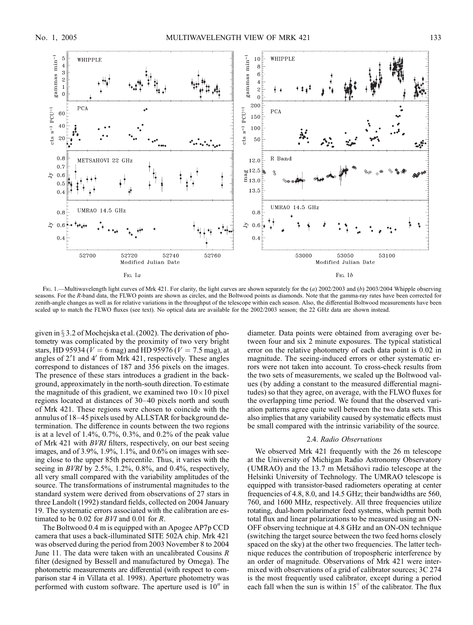

Fig. 1.—Multiwavelength light curves of Mrk 421. For clarity, the light curves are shown separately for the (a) 2002/2003 and (b) 2003/2004 Whipple observing seasons. For the R-band data, the FLWO points are shown as circles, and the Boltwood points as diamonds. Note that the gamma-ray rates have been corrected for zenith-angle changes as well as for relative variations in the throughput of the telescope within each season. Also, the differential Boltwood measurements have been scaled up to match the FLWO fluxes (see text). No optical data are available for the 2002/2003 season; the 22 GHz data are shown instead.

given in  $\S 3.2$  of Mochejska et al. (2002). The derivation of photometry was complicated by the proximity of two very bright stars, HD 95934 ( $V = 6$  mag) and HD 95976 ( $V = 7.5$  mag), at angles of  $2.1$  and  $4'$  from Mrk  $421$ , respectively. These angles correspond to distances of 187 and 356 pixels on the images. The presence of these stars introduces a gradient in the background, approximately in the north-south direction. To estimate the magnitude of this gradient, we examined two  $10 \times 10$  pixel regions located at distances of 30–40 pixels north and south of Mrk 421. These regions were chosen to coincide with the annulus of 18–45 pixels used by ALLSTAR for background determination. The difference in counts between the two regions is at a level of  $1.4\%, 0.7\%, 0.3\%,$  and  $0.2\%$  of the peak value of Mrk 421 with BVRI filters, respectively, on our best seeing images, and of 3.9%, 1.9%, 1.1%, and 0.6% on images with seeing close to the upper 85th percentile. Thus, it varies with the seeing in *BVRI* by 2.5%, 1.2%, 0.8%, and 0.4%, respectively, all very small compared with the variability amplitudes of the source. The transformations of instrumental magnitudes to the standard system were derived from observations of 27 stars in three Landolt (1992) standard fields, collected on 2004 January 19. The systematic errors associated with the calibration are estimated to be 0.02 for  $BVI$  and 0.01 for R.

The Boltwood 0.4 m is equipped with an Apogee AP7p CCD camera that uses a back-illuminated SITE 502A chip. Mrk 421 was observed during the period from 2003 November 8 to 2004 June 11. The data were taken with an uncalibrated Cousins  $R$ filter (designed by Bessell and manufactured by Omega). The photometric measurements are differential (with respect to comparison star 4 in Villata et al. 1998). Aperture photometry was performed with custom software. The aperture used is  $10<sup>′′</sup>$  in

diameter. Data points were obtained from averaging over between four and six 2 minute exposures. The typical statistical error on the relative photometry of each data point is 0.02 in magnitude. The seeing-induced errors or other systematic errors were not taken into account. To cross-check results from the two sets of measurements, we scaled up the Boltwood values (by adding a constant to the measured differential magnitudes) so that they agree, on average, with the FLWO fluxes for the overlapping time period. We found that the observed variation patterns agree quite well between the two data sets. This also implies that any variability caused by systematic effects must be small compared with the intrinsic variability of the source.

#### 2.4. Radio Observations

We observed Mrk 421 frequently with the 26 m telescope at the University of Michigan Radio Astronomy Observatory  $(UMRAO)$  and the 13.7 m Metsähovi radio telescope at the Helsinki University of Technology. The UMRAO telescope is equipped with transistor-based radiometers operating at center frequencies of 4.8, 8.0, and 14.5 GHz; their bandwidths are 560, 760, and 1600 MHz, respectively. All three frequencies utilize rotating, dual-horn polarimeter feed systems, which permit both total flux and linear polarizations to be measured using an ON-OFF observing technique at 4.8 GHz and an ON-ON technique (switching the target source between the two feed horns closely spaced on the sky) at the other two frequencies. The latter technique reduces the contribution of tropospheric interference by an order of magnitude. Observations of Mrk 421 were intermixed with observations of a grid of calibrator sources; 3C 274 is the most frequently used calibrator, except during a period each fall when the sun is within  $15^{\circ}$  of the calibrator. The flux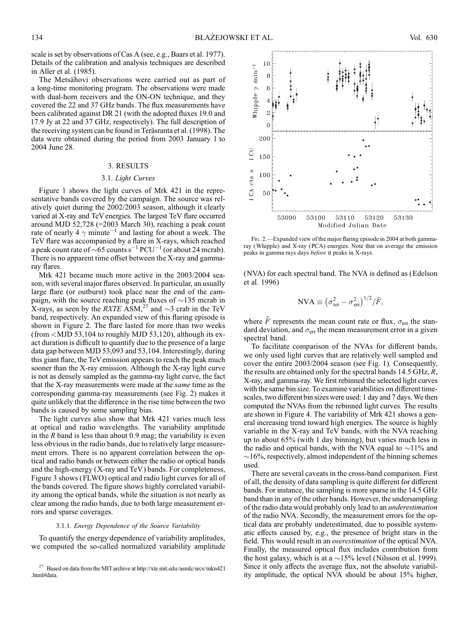scale is set by observations of Cas A (see, e.g., Baars et al. 1977). Details of the calibration and analysis techniques are described in Aller et al. (1985).

The Metsähovi observations were carried out as part of a long-time monitoring program. The observations were made with dual-horn receivers and the ON-ON technique, and they covered the 22 and 37 GHz bands. The flux measurements have been calibrated against DR 21 (with the adopted fluxes 19.0 and 17.9 Jy at 22 and 37 GHz, respectively). The full description of the receiving system can be found in Teräsranta et al. (1998). The data were obtained during the period from 2003 January 1 to 2004 June 28.

# 3. RESULTS

#### 3.1. Light Curves

Figure 1 shows the light curves of Mrk 421 in the representative bands covered by the campaign. The source was relatively quiet during the 2002/2003 season, although it clearly varied at X-ray and TeV energies. The largest TeV flare occurred around MJD 52,728 (=2003 March 30), reaching a peak count rate of nearly 4  $\gamma$  minute<sup>-1</sup> and lasting for about a week. The TeV flare was accompanied by a flare in X-rays, which reached a peak count rate of  $\sim 65$  counts s<sup>-1</sup> PCU<sup>-1</sup> (or about 24 mcrab). There is no apparent time offset between the X-ray and gammaray flares.

Mrk 421 became much more active in the 2003/2004 season, with several major flares observed. In particular, an usually large flare (or outburst) took place near the end of the campaign, with the source reaching peak fluxes of  $\sim$ 135 mcrab in X-rays, as seen by the *RXTE* ASM,<sup>27</sup> and  $\sim$ 3 crab in the TeV band, respectively. An expanded view of this flaring episode is shown in Figure 2. The flare lasted for more than two weeks  $(from < MJD 53,104$  to roughly MJD 53,120), although its exact duration is difficult to quantify due to the presence of a large data gap between MJD 53,093 and 53,104. Interestingly, during this giant flare, the TeVemission appears to reach the peak much sooner than the X-ray emission. Although the X-ray light curve is not as densely sampled as the gamma-ray light curve, the fact that the X-ray measurements were made at the same time as the corresponding gamma-ray measurements (see Fig. 2) makes it quite unlikely that the difference in the rise time between the two bands is caused by some sampling bias.

The light curves also show that Mrk 421 varies much less at optical and radio wavelengths. The variability amplitude in the  $R$  band is less than about 0.9 mag; the variability is even less obvious in the radio bands, due to relatively large measurement errors. There is no apparent correlation between the optical and radio bands or between either the radio or optical bands and the high-energy (X-ray and TeV ) bands. For completeness, Figure 3 shows (FLWO) optical and radio light curves for all of the bands covered. The figure shows highly correlated variability among the optical bands, while the situation is not nearly as clear among the radio bands, due to both large measurement errors and sparse coverages.

# 3.1.1. Energy Dependence of the Source Variability

To quantify the energy dependence of variability amplitudes, we computed the so-called normalized variability amplitude



FIG. 2.—Expanded view of the major flaring episode in 2004 at both gammaray (Whipple) and X-ray (PCA) energies. Note that on average the emission peaks in gamma rays days before it peaks in X-rays.

(NVA) for each spectral band. The NVA is defined as (Edelson et al. 1996)

$$
NVA \equiv (\sigma_{\text{tot}}^2 - \sigma_{\text{err}}^2)^{1/2} / \bar{F},
$$

where  $\overline{F}$  represents the mean count rate or flux,  $\sigma_{tot}$  the standard deviation, and  $\sigma_{\text{err}}$  the mean measurement error in a given spectral band.

To facilitate comparison of the NVAs for different bands, we only used light curves that are relatively well sampled and cover the entire 2003/2004 season (see Fig. 1). Consequently, the results are obtained only for the spectral bands 14.5 GHz, R, X-ray, and gamma-ray. We first rebinned the selected light curves with the same bin size. To examine variabilities on different timescales, two different bin sizes were used: 1 day and 7 days. We then computed the NVAs from the rebinned light curves. The results are shown in Figure 4. The variability of Mrk 421 shows a general increasing trend toward high energies. The source is highly variable in the X-ray and TeV bands, with the NVA reaching up to about 65% (with 1 day binning), but varies much less in the radio and optical bands, with the NVA equal to  $\sim$ 11% and  $\sim$ 16%, respectively, almost independent of the binning schemes used.

There are several caveats in the cross-band comparison. First of all, the density of data sampling is quite different for different bands. For instance, the sampling is more sparse in the 14.5 GHz band than in any of the other bands. However, the undersampling of the radio data would probably only lead to an underestimation of the radio NVA. Secondly, the measurement errors for the optical data are probably underestimated, due to possible systematic effects caused by, e.g., the presence of bright stars in the field. This would result in an overestimation of the optical NVA. Finally, the measured optical flux includes contribution from the host galaxy, which is at a  $\sim$ 15% level (Nilsson et al. 1999). Since it only affects the average flux, not the absolute variability amplitude, the optical NVA should be about 15% higher,

<sup>&</sup>lt;sup>27</sup> Based on data from the MIT archive at http://xte.mit.edu/asmlc/srcs/mkn421 .html#data.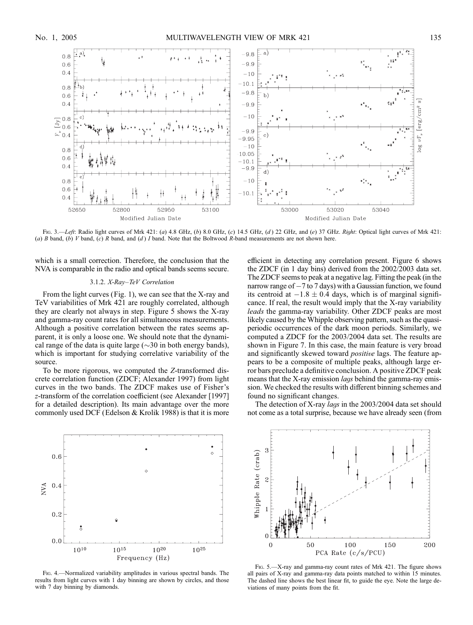

Fig. 3.—Left: Radio light curves of Mrk 421: (a) 4.8 GHz, (b) 8.0 GHz, (c) 14.5 GHz, (d) 22 GHz, and (e) 37 GHz. Right: Optical light curves of Mrk 421: (a) B band, (b) V band, (c) R band, and (d) I band. Note that the Boltwood R-band measurements are not shown here.

which is a small correction. Therefore, the conclusion that the NVA is comparable in the radio and optical bands seems secure.

#### 3.1.2. X-Ray–TeV Correlation

From the light curves (Fig. 1), we can see that the X-ray and TeV variabilities of Mrk 421 are roughly correlated, although they are clearly not always in step. Figure 5 shows the X-ray and gamma-ray count rates for all simultaneous measurements. Although a positive correlation between the rates seems apparent, it is only a loose one. We should note that the dynamical range of the data is quite large  $(\sim 30$  in both energy bands), which is important for studying correlative variability of the source.

To be more rigorous, we computed the Z-transformed discrete correlation function (ZDCF; Alexander 1997) from light curves in the two bands. The ZDCF makes use of Fisher's z-transform of the correlation coefficient (see Alexander [1997] for a detailed description). Its main advantage over the more commonly used DCF (Edelson  $&$  Krolik 1988) is that it is more

efficient in detecting any correlation present. Figure 6 shows the ZDCF (in 1 day bins) derived from the 2002/2003 data set. The ZDCF seems to peak at a negative lag. Fitting the peak (in the narrow range of  $-7$  to  $7$  days) with a Gaussian function, we found its centroid at  $-1.8 \pm 0.4$  days, which is of marginal significance. If real, the result would imply that the X-ray variability leads the gamma-ray variability. Other ZDCF peaks are most likely caused by the Whipple observing pattern, such as the quasiperiodic occurrences of the dark moon periods. Similarly, we computed a ZDCF for the 2003/2004 data set. The results are shown in Figure 7. In this case, the main feature is very broad and significantly skewed toward positive lags. The feature appears to be a composite of multiple peaks, although large error bars preclude a definitive conclusion. A positive ZDCF peak means that the X-ray emission *lags* behind the gamma-ray emission. We checked the results with different binning schemes and found no significant changes.

The detection of X-ray lags in the 2003/2004 data set should not come as a total surprise, because we have already seen (from



Fig. 4.—Normalized variability amplitudes in various spectral bands. The results from light curves with 1 day binning are shown by circles, and those with 7 day binning by diamonds.



FIG. 5.—X-ray and gamma-ray count rates of Mrk 421. The figure shows all pairs of X-ray and gamma-ray data points matched to within 15 minutes. The dashed line shows the best linear fit, to guide the eye. Note the large deviations of many points from the fit.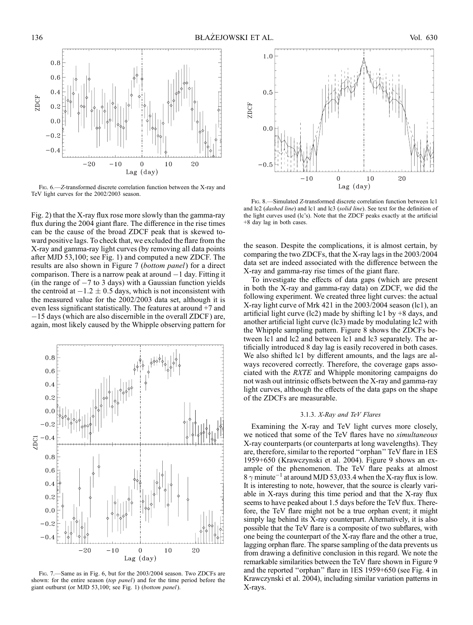

FIG. 6.—Z-transformed discrete correlation function between the X-ray and TeV light curves for the 2002/2003 season.

Fig. 2) that the X-ray flux rose more slowly than the gamma-ray flux during the 2004 giant flare. The difference in the rise times can be the cause of the broad ZDCF peak that is skewed toward positive lags. To check that, we excluded the flare from the X-ray and gamma-ray light curves (by removing all data points after MJD 53,100; see Fig. 1) and computed a new ZDCF. The results are also shown in Figure 7 (bottom panel) for a direct comparison. There is a narrow peak at around  $-1$  day. Fitting it  $(in the range of  $-7$  to  $3$  days) with a Gaussian function yields$ the centroid at  $-1.2 \pm 0.5$  days, which is not inconsistent with the measured value for the 2002/2003 data set, although it is even less significant statistically. The features at around +7 and -15 days (which are also discernible in the overall ZDCF ) are, again, most likely caused by the Whipple observing pattern for



Fig. 7.—Same as in Fig. 6, but for the 2003/2004 season. Two ZDCFs are shown: for the entire season *(top panel)* and for the time period before the giant outburst (or MJD 53,100; see Fig. 1) (bottom panel).



Fig. 8.—Simulated Z-transformed discrete correlation function between lc1 and lc2 (dashed line) and lc1 and lc3 (solid line). See text for the definition of the light curves used (lc's). Note that the ZDCF peaks exactly at the artificial +8 day lag in both cases.

the season. Despite the complications, it is almost certain, by comparing the two ZDCFs, that the X-ray lags in the 2003/2004 data set are indeed associated with the difference between the X-ray and gamma-ray rise times of the giant flare.

To investigate the effects of data gaps (which are present in both the X-ray and gamma-ray data) on ZDCF, we did the following experiment. We created three light curves: the actual X-ray light curve of Mrk 421 in the 2003/2004 season (lc1), an artificial light curve (lc2) made by shifting lc1 by  $+8$  days, and another artificial light curve (lc3) made by modulating lc2 with the Whipple sampling pattern. Figure 8 shows the ZDCFs between lc1 and lc2 and between lc1 and lc3 separately. The artificially introduced 8 day lag is easily recovered in both cases. We also shifted lc1 by different amounts, and the lags are always recovered correctly. Therefore, the coverage gaps associated with the RXTE and Whipple monitoring campaigns do not wash out intrinsic offsets between the X-ray and gamma-ray light curves, although the effects of the data gaps on the shape of the ZDCFs are measurable.

# 3.1.3. X-Ray and TeV Flares

Examining the X-ray and TeV light curves more closely, we noticed that some of the TeV flares have no simultaneous X-ray counterparts (or counterparts at long wavelengths). They are, therefore, similar to the reported ''orphan'' TeV flare in 1ES 1959+650 (Krawczynski et al. 2004). Figure 9 shows an example of the phenomenon. The TeV flare peaks at almost 8  $\gamma$  minute<sup>-1</sup> at around MJD 53,033.4 when the X-ray flux is low. It is interesting to note, however, that the source is clearly variable in X-rays during this time period and that the X-ray flux seems to have peaked about 1.5 days before the TeV flux. Therefore, the TeV flare might not be a true orphan event; it might simply lag behind its X-ray counterpart. Alternatively, it is also possible that the TeV flare is a composite of two subflares, with one being the counterpart of the X-ray flare and the other a true, lagging orphan flare. The sparse sampling of the data prevents us from drawing a definitive conclusion in this regard. We note the remarkable similarities between the TeV flare shown in Figure 9 and the reported ''orphan'' flare in 1ES 1959+650 (see Fig. 4 in Krawczynski et al. 2004), including similar variation patterns in X-rays.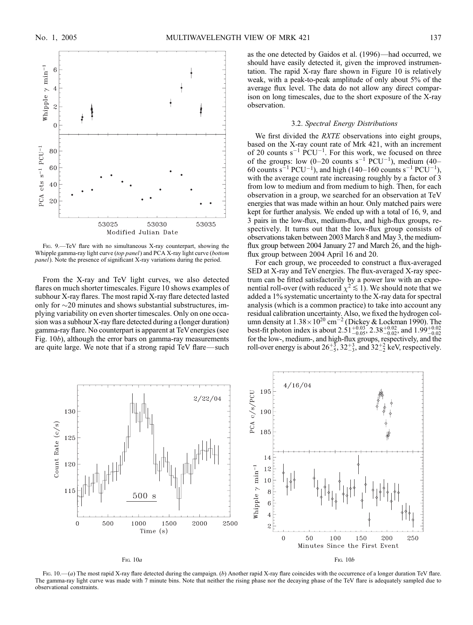

Fig. 9.—TeV flare with no simultaneous X-ray counterpart, showing the Whipple gamma-ray light curve (top panel) and PCA X-ray light curve (bottom panel). Note the presence of significant X-ray variations during the period.

From the X-ray and TeV light curves, we also detected flares on much shorter timescales. Figure 10 shows examples of subhour X-ray flares. The most rapid X-ray flare detected lasted only for  $\sim$ 20 minutes and shows substantial substructures, implying variability on even shorter timescales. Only on one occasion was a subhour X-ray flare detected during a (longer duration) gamma-ray flare. No counterpart is apparent at TeVenergies (see Fig. 10b), although the error bars on gamma-ray measurements are quite large. We note that if a strong rapid TeV flare—such as the one detected by Gaidos et al. (1996)—had occurred, we should have easily detected it, given the improved instrumentation. The rapid X-ray flare shown in Figure 10 is relatively weak, with a peak-to-peak amplitude of only about 5% of the average flux level. The data do not allow any direct comparison on long timescales, due to the short exposure of the X-ray observation.

# 3.2. Spectral Energy Distributions

We first divided the *RXTE* observations into eight groups, based on the X-ray count rate of Mrk 421, with an increment of 20 counts  $s^{-1}$  PCU<sup>-1</sup>. For this work, we focused on three of the groups: low  $(0-20 \text{ counts } s^{-1} \text{ PCU}^{-1})$ , medium  $(40-$ 60 counts s<sup>-1</sup> PCU<sup>-1</sup>), and high (140–160 counts s<sup>-1</sup> PCU<sup>-1</sup>), with the average count rate increasing roughly by a factor of 3 from low to medium and from medium to high. Then, for each observation in a group, we searched for an observation at TeV energies that was made within an hour. Only matched pairs were kept for further analysis. We ended up with a total of 16, 9, and 3 pairs in the low-flux, medium-flux, and high-flux groups, respectively. It turns out that the low-flux group consists of observations taken between 2003 March 8 and May 3, the mediumflux group between 2004 January 27 and March 26, and the highflux group between 2004 April 16 and 20.

For each group, we proceeded to construct a flux-averaged SED at X-ray and TeV energies. The flux-averaged X-ray spectrum can be fitted satisfactorily by a power law with an exponential roll-over (with reduced  $\chi^2 \lesssim 1$ ). We should note that we added a 1% systematic uncertainty to the X-ray data for spectral analysis (which is a common practice) to take into account any residual calibration uncertainty. Also, we fixed the hydrogen column density at  $1.38 \times 10^{20}$  cm<sup>-2</sup> (Dickey & Lockman 1990). The best-fit photon index is about  $2.51^{+0.03}_{-0.05}$ ,  $2.38^{+0.02}_{-0.02}$ , and  $1.99^{+0.02}_{-0.02}$ for the low-, medium-, and high-flux groups, respectively, and the roll-over energy is about  $26\frac{1}{5}$ ,  $32\frac{13}{5}$ , and  $32\frac{12}{5}$  keV, respectively.



Fig. 10.—(*a*) The most rapid X-ray flare detected during the campaign. (*b*) Another rapid X-ray flare coincides with the occurrence of a longer duration TeV flare. The gamma-ray light curve was made with 7 minute bins. Note that neither the rising phase nor the decaying phase of the TeV flare is adequately sampled due to observational constraints.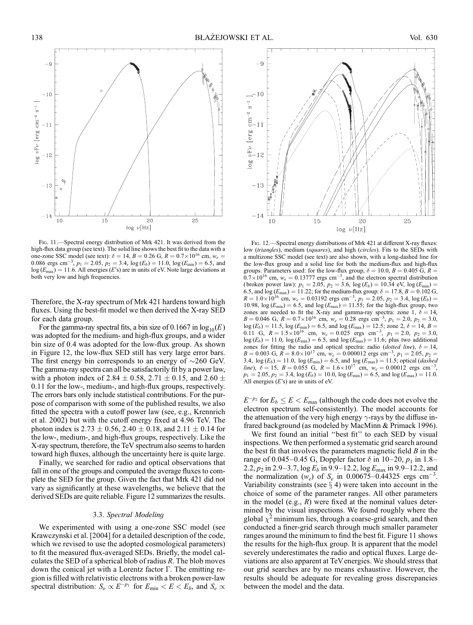

Fig. 11.—Spectral energy distribution of Mrk 421. It was derived from the high-flux data group (see text). The solid line shows the best fit to the data with a one-zone SSC model (see text):  $\delta = 14$ ,  $B = 0.26$  G,  $R = 0.7 \times 10^{16}$  cm,  $w_e =$ 0.086 ergs cm<sup>-3</sup>,  $p_1 = 2.05$ ,  $p_2 = 3.4$ ,  $\log(E_b) = 11.0$ ,  $\log(E_{min}) = 6.5$ , and  $log (E_{\text{max}}) = 11.6$ . All energies (E's) are in units of eV. Note large deviations at both very low and high frequencies.

Therefore, the X-ray spectrum of Mrk 421 hardens toward high fluxes. Using the best-fit model we then derived the X-ray SED for each data group.

For the gamma-ray spectral fits, a bin size of 0.1667 in  $log_{10}(E)$ was adopted for the medium- and high-flux groups, and a wider bin size of 0.4 was adopted for the low-flux group. As shown in Figure 12, the low-flux SED still has very large error bars. The first energy bin corresponds to an energy of  $\sim$ 260 GeV. The gamma-ray spectra can all be satisfactorily fit by a power law, with a photon index of 2.84  $\pm$  0.58, 2.71  $\pm$  0.15, and 2.60  $\pm$ 0:11 for the low-, medium-, and high-flux groups, respectively. The errors bars only include statistical contributions. For the purpose of comparison with some of the published results, we also fitted the spectra with a cutoff power law (see, e.g., Krennrich et al. 2002) but with the cutoff energy fixed at 4.96 TeV. The photon index is 2.73  $\pm$  0.56, 2.40  $\pm$  0.18, and 2.11  $\pm$  0.14 for the low-, medium-, and high-flux groups, respectively. Like the X-ray spectrum, therefore, the TeV spectrum also seems to harden toward high fluxes, although the uncertainty here is quite large.

Finally, we searched for radio and optical observations that fall in one of the groups and computed the average fluxes to complete the SED for the group. Given the fact that Mrk 421 did not vary as significantly at these wavelengths, we believe that the derived SEDs are quite reliable. Figure 12 summarizes the results.

# 3.3. Spectral Modeling

We experimented with using a one-zone SSC model (see Krawczynski et al. [2004] for a detailed description of the code, which we revised to use the adopted cosmological parameters) to fit the measured flux-averaged SEDs. Briefly, the model calculates the SED of a spherical blob of radius  $R$ . The blob moves down the conical jet with a Lorentz factor  $\Gamma$ . The emitting region is filled with relativistic electrons with a broken power-law spectral distribution:  $S_e \propto E^{-p_1}$  for  $E_{\text{min}} < E < E_b$ , and  $S_e \propto$ 



Fig. 12. - Spectral energy distributions of Mrk 421 at different X-ray fluxes: low (triangles), medium (squares), and high (circles). Fits to the SEDs with a multizone SSC model (see text) are also shown, with a long-dashed line for the low-flux group and a solid line for both the medium-flux and high-flux groups. Parameters used: for the low-flux group,  $\delta = 10.0, B = 0.405$  G,  $R =$  $0.7 \times 10^{16}$  cm,  $w_e = 0.13777$  ergs cm<sup>-3</sup>, and the electron spectral distribution ( broken power law):  $p_1 = 2.05$ ,  $p_2 = 3.6$ ,  $\log(E_b) = 10.34$  eV,  $\log(E_{\text{min}}) =$ 6.5, and  $log (E_{\text{max}}) = 11.22$ ; for the medium-flux group:  $\delta = 17.8, B = 0.102$  G,  $R = 1.0 \times 10^{16}$  cm,  $w_e = 0.03192$  ergs cm<sup>-3</sup>,  $p_1 = 2.05$ ,  $p_2 = 3.4$ ,  $\log(E_b) =$ 10.98,  $log(E_{min}) = 6.5$ , and  $log(E_{max}) = 11.55$ ; for the high-flux group, two zones are needed to fit the X-ray and gamma-ray spectra: zone 1,  $\delta = 14$ ,  $B = 0.046$  G,  $R = 0.7 \times 10^{16}$  cm,  $w_e = 0.28$  ergs cm<sup>-3</sup>,  $p_1 = 2.0$ ,  $p_2 = 3.0$ ,  $log (E_b) = 11.5$ ,  $log (E_{min}) = 6.5$ , and  $log (E_{max}) = 12.5$ ; zone 2,  $\delta = 14$ ,  $B = 0.11$  G,  $R = 1.5 \times 10^{16}$  cm,  $w_e = 0.025$  ergs cm<sup>-3</sup>,  $p_1 = 2.0$ ,  $p_2 = 3.0$ ,  $log (E_b) = 11.0$ ,  $log (E_{min}) = 6.5$ , and  $log (E_{max}) = 11.6$ ; plus two additional zones for fitting the radio and optical spectra: radio (dotted line),  $\delta = 14$ ,  $B = 0.003$  G,  $R = 8.0 \times 10^{17}$  cm,  $w_e = 0.000012$  ergs cm<sup>-3</sup>,  $p_1 = 2.05$ ,  $p_2 =$ 3.4,  $\log(E_b) = 11.0$ ,  $\log(E_{\text{min}}) = 6.5$ , and  $\log(E_{\text{max}}) = 11.5$ ; optical (*dashed* line),  $\delta = 15$ ,  $B = 0.055$  G,  $R = 1.6 \times 10^{17}$  cm,  $w_e = 0.00012$  ergs cm<sup>-3</sup> ,  $p_1 = 2.05, p_2 = 3.4, \log(E_b) = 10.0, \log(E_{min}) = 6.5, \text{ and } \log(E_{max}) = 11.0.$ All energies  $(E$ 's) are in units of eV.

 $E^{-p_2}$  for  $E_b \le E < E_{\text{max}}$  (although the code does not evolve the electron spectrum self-consistently). The model accounts for the attenuation of the very high energy  $\gamma$ -rays by the diffuse infrared background (as modeled by MacMinn & Primack 1996).

We first found an initial ''best fit'' to each SED by visual inspections. We then performed a systematic grid search around the best fit that involves the parameters magnetic field  $B$  in the range of 0.045–0.45 G, Doppler factor  $\delta$  in 10–20,  $p_1$  in 1.8– 2.2,  $p_2$  in 2.9–3.7,  $\log E_b$  in 9.9–12.2,  $\log E_{\text{max}}$  in 9.9–12.2, and the normalization  $(w_e)$  of  $S_e$  in 0.00675–0.44325 ergs cm<sup>-3</sup>. Variability constraints (see  $\S$  4) were taken into account in the choice of some of the parameter ranges. All other parameters in the model (e.g.,  $R$ ) were fixed at the nominal values determined by the visual inspections. We found roughly where the global  $\chi^2$  minimum lies, through a coarse-grid search, and then conducted a finer-grid search through much smaller parameter ranges around the minimum to find the best fit. Figure 11 shows the results for the high-flux group. It is apparent that the model severely underestimates the radio and optical fluxes. Large deviations are also apparent at TeVenergies. We should stress that our grid searches are by no means exhaustive. However, the results should be adequate for revealing gross discrepancies between the model and the data.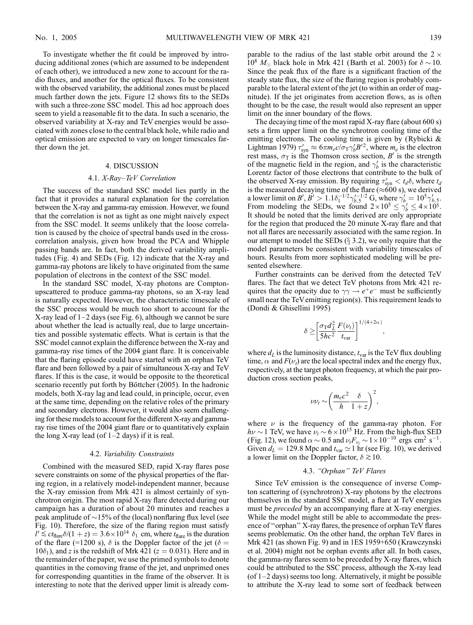To investigate whether the fit could be improved by introducing additional zones (which are assumed to be independent of each other), we introduced a new zone to account for the radio fluxes, and another for the optical fluxes. To be consistent with the observed variability, the additional zones must be placed much farther down the jets. Figure 12 shows fits to the SEDs with such a three-zone SSC model. This ad hoc approach does seem to yield a reasonable fit to the data. In such a scenario, the observed variability at X-ray and TeV energies would be associated with zones close to the central black hole, while radio and optical emission are expected to vary on longer timescales farther down the jet.

# 4. DISCUSSION

#### 4.1. X-Ray–TeV Correlation

The success of the standard SSC model lies partly in the fact that it provides a natural explanation for the correlation between the X-ray and gamma-ray emission. However, we found that the correlation is not as tight as one might naively expect from the SSC model. It seems unlikely that the loose correlation is caused by the choice of spectral bands used in the crosscorrelation analysis, given how broad the PCA and Whipple passing bands are. In fact, both the derived variability amplitudes (Fig. 4) and SEDs (Fig. 12) indicate that the X-ray and gamma-ray photons are likely to have originated from the same population of electrons in the context of the SSC model.

In the standard SSC model, X-ray photons are Comptonupscattered to produce gamma-ray photons, so an X-ray lead is naturally expected. However, the characteristic timescale of the SSC process would be much too short to account for the X-ray lead of  $1-2$  days (see Fig. 6), although we cannot be sure about whether the lead is actually real, due to large uncertainties and possible systematic effects. What is certain is that the SSC model cannot explain the difference between the X-ray and gamma-ray rise times of the 2004 giant flare. It is conceivable that the flaring episode could have started with an orphan TeV flare and been followed by a pair of simultaneous X-ray and TeV flares. If this is the case, it would be opposite to the theoretical scenario recently put forth by Böttcher (2005). In the hadronic models, both X-ray lag and lead could, in principle, occur, even at the same time, depending on the relative roles of the primary and secondary electrons. However, it would also seem challenging for these models to account for the different X-ray and gammaray rise times of the 2004 giant flare or to quantitatively explain the long X-ray lead (of  $1-2$  days) if it is real.

#### 4.2. Variability Constraints

Combined with the measured SED, rapid X-ray flares pose severe constraints on some of the physical properties of the flaring region, in a relatively model-independent manner, because the X-ray emission from Mrk 421 is almost certainly of synchrotron origin. The most rapid X-ray flare detected during our campaign has a duration of about 20 minutes and reaches a peak amplitude of  $\sim$ 15% of the (local) nonflaring flux level (see Fig. 10). Therefore, the size of the flaring region must satisfy  $l' \lesssim ct_{\text{flare}} \delta/(1 + z) = 3.6 \times 10^{14} \delta_1 \text{ cm}$ , where  $t_{\text{flare}}$  is the duration of the flare (=1200 s),  $\delta$  is the Doppler factor of the jet ( $\delta$  =  $10\delta_1$ , and z is the redshift of Mrk 421 ( $z = 0.031$ ). Here and in the remainder of the paper, we use the primed symbols to denote quantities in the comoving frame of the jet, and unprimed ones for corresponding quantities in the frame of the observer. It is interesting to note that the derived upper limit is already com-

parable to the radius of the last stable orbit around the  $2 \times$  $10^8$   $M_{\odot}$  black hole in Mrk 421 (Barth et al. 2003) for  $\delta \sim 10$ . Since the peak flux of the flare is a significant fraction of the steady state flux, the size of the flaring region is probably comparable to the lateral extent of the jet (to within an order of magnitude). If the jet originates from accretion flows, as is often thought to be the case, the result would also represent an upper limit on the inner boundary of the flows.

The decaying time of the most rapid X-ray flare (about 600 s) sets a firm upper limit on the synchrotron cooling time of the emitting electrons. The cooling time is given by (Rybicki  $\&$ Lightman 1979)  $\tau'_{syn} \approx 6\pi m_e c/\sigma_T \gamma'_b B'^2$ , where  $m_e$  is the electron rest mass,  $\sigma_T$  is the Thomson cross section, B' is the strength of the magnetic field in the region, and  $\gamma'_b$  is the characteristic Lorentz factor of those electrons that contribute to the bulk of the observed X-ray emission. By requiring  $\tau'_{syn} < t_d \delta$ , where  $t_d$ is the measured decaying time of the flare ( $\approx$ 600 s), we derived a lower limit on B',  $B' > 1.1 \delta_1^{-1/2} \gamma_{b,5}^{\prime -1/2}$  G, where  $\gamma_{b}' = 10^5 \gamma_{b,5}'$ . From modeling the SEDs, we found  $2 \times 10^5 \le \gamma_b' \le 4 \times 10^5$ . It should be noted that the limits derived are only appropriate for the region that produced the 20 minute X-ray flare and that not all flares are necessarily associated with the same region. In our attempt to model the SEDs  $(\S 3.2)$ , we only require that the model parameters be consistent with variability timescales of hours. Results from more sophisticated modeling will be presented elsewhere.

Further constraints can be derived from the detected TeV flares. The fact that we detect TeV photons from Mrk 421 requires that the opacity due to  $\gamma \gamma \rightarrow e^+e^-$  must be sufficiently small near the TeVemitting region(s). This requirement leads to (Dondi & Ghisellini 1995)

$$
\delta \geq \!\left[\!\frac{\sigma_{\rm T} d_L^2}{5\hbar c^2}\frac{F(\nu_t)}{t_{\rm var}}\!\right]^{1/(4+2\alpha)},
$$

where  $d_L$  is the luminosity distance,  $t_{var}$  is the TeV flux doubling time,  $\alpha$  and  $F(\nu_t)$  are the local spectral index and the energy flux, respectively, at the target photon frequency, at which the pair production cross section peaks,

$$
\nu \nu_t \sim \left(\frac{m_e c^2}{h}\frac{\delta}{1+z}\right)^2,
$$

where  $\nu$  is the frequency of the gamma-ray photon. For  $h\nu \sim 1$  TeV, we have  $\nu_t \sim 6 \times 10^{15}$  Hz. From the high-flux SED (Fig. 12), we found  $\alpha \sim 0.5$  and  $\nu_t F_{\nu_t} \sim 1 \times 10^{-10}$  ergs cm<sup>2</sup> s<sup>-1</sup>. Given  $d_L = 129.8$  Mpc and  $t_{\text{var}} \simeq 1$  hr (see Fig. 10), we derived a lower limit on the Doppler factor,  $\delta \gtrsim 10$ .

# 4.3. "Orphan" TeV Flares

Since TeV emission is the consequence of inverse Compton scattering of (synchrotron) X-ray photons by the electrons themselves in the standard SSC model, a flare at TeV energies must be *preceded* by an accompanying flare at X-ray energies. While the model might still be able to accommodate the presence of ''orphan'' X-ray flares, the presence of orphan TeV flares seems problematic. On the other hand, the orphan TeV flares in Mrk 421 (as shown Fig. 9) and in 1ES 1959+650 (Krawczynski et al. 2004) might not be orphan events after all. In both cases, the gamma-ray flares seem to be preceded by X-ray flares, which could be attributed to the SSC process, although the X-ray lead (of 1–2 days) seems too long. Alternatively, it might be possible to attribute the X-ray lead to some sort of feedback between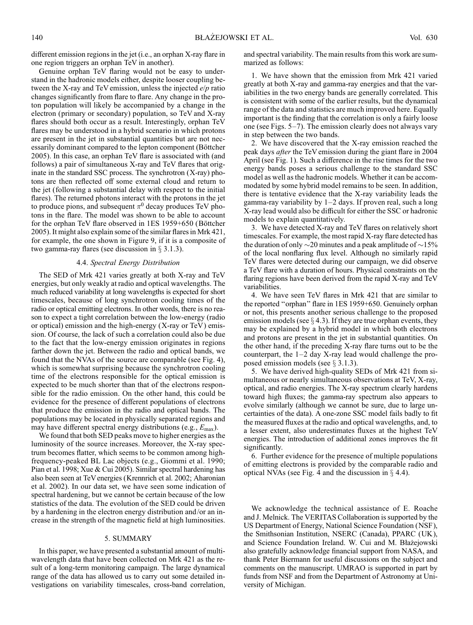different emission regions in the jet (i.e., an orphan X-ray flare in one region triggers an orphan TeV in another).

Genuine orphan TeV flaring would not be easy to understand in the hadronic models either, despite looser coupling between the X-ray and TeV emission, unless the injected  $e/p$  ratio changes significantly from flare to flare. Any change in the proton population will likely be accompanied by a change in the electron (primary or secondary) population, so TeV and X-ray flares should both occur as a result. Interestingly, orphan TeV flares may be understood in a hybrid scenario in which protons are present in the jet in substantial quantities but are not necessarily dominant compared to the lepton component (Böttcher 2005). In this case, an orphan TeV flare is associated with (and follows) a pair of simultaneous X-ray and TeV flares that originate in the standard SSC process. The synchrotron (X-ray) photons are then reflected off some external cloud and return to the jet (following a substantial delay with respect to the initial flares). The returned photons interact with the protons in the jet to produce pions, and subsequent  $\pi^0$  decay produces TeV photons in the flare. The model was shown to be able to account for the orphan TeV flare observed in 1ES 1959+650 (Böttcher 2005). It might also explain some of the similar flares in Mrk 421, for example, the one shown in Figure 9, if it is a composite of two gamma-ray flares (see discussion in  $\S$  3.1.3).

#### 4.4. Spectral Energy Distribution

The SED of Mrk 421 varies greatly at both X-ray and TeV energies, but only weakly at radio and optical wavelengths. The much reduced variability at long wavelengths is expected for short timescales, because of long synchrotron cooling times of the radio or optical emitting electrons. In other words, there is no reason to expect a tight correlation between the low-energy (radio or optical) emission and the high-energy  $(X-ray \,or\,TeV)$  emission. Of course, the lack of such a correlation could also be due to the fact that the low-energy emission originates in regions farther down the jet. Between the radio and optical bands, we found that the NVAs of the source are comparable (see Fig. 4), which is somewhat surprising because the synchrotron cooling time of the electrons responsible for the optical emission is expected to be much shorter than that of the electrons responsible for the radio emission. On the other hand, this could be evidence for the presence of different populations of electrons that produce the emission in the radio and optical bands. The populations may be located in physically separated regions and may have different spectral energy distributions (e.g.,  $E_{\text{max}}$ ).

We found that both SED peaks move to higher energies as the luminosity of the source increases. Moreover, the X-ray spectrum becomes flatter, which seems to be common among highfrequency-peaked BL Lac objects (e.g., Giommi et al. 1990; Pian et al. 1998; Xue & Cui 2005). Similar spectral hardening has also been seen at TeV energies (Krennrich et al. 2002; Aharonian et al. 2002). In our data set, we have seen some indication of spectral hardening, but we cannot be certain because of the low statistics of the data. The evolution of the SED could be driven by a hardening in the electron energy distribution and/or an increase in the strength of the magnetic field at high luminosities.

#### 5. SUMMARY

In this paper, we have presented a substantial amount of multiwavelength data that have been collected on Mrk 421 as the result of a long-term monitoring campaign. The large dynamical range of the data has allowed us to carry out some detailed investigations on variability timescales, cross-band correlation,

and spectral variability. The main results from this work are summarized as follows:

1. We have shown that the emission from Mrk 421 varied greatly at both X-ray and gamma-ray energies and that the variabilities in the two energy bands are generally correlated. This is consistent with some of the earlier results, but the dynamical range of the data and statistics are much improved here. Equally important is the finding that the correlation is only a fairly loose one (see Figs. 5–7). The emission clearly does not always vary in step between the two bands.

2. We have discovered that the X-ray emission reached the peak days after the TeV emission during the giant flare in 2004 April (see Fig. 1). Such a difference in the rise times for the two energy bands poses a serious challenge to the standard SSC model as well as the hadronic models. Whether it can be accommodated by some hybrid model remains to be seen. In addition, there is tentative evidence that the X-ray variability leads the gamma-ray variability by 1–2 days. If proven real, such a long X-ray lead would also be difficult for either the SSC or hadronic models to explain quantitatively.

3. We have detected X-ray and TeV flares on relatively short timescales. For example, the most rapid X-ray flare detected has the duration of only  $\sim$  20 minutes and a peak amplitude of  $\sim$  15% of the local nonflaring flux level. Although no similarly rapid TeV flares were detected during our campaign, we did observe a TeV flare with a duration of hours. Physical constraints on the flaring regions have been derived from the rapid X-ray and TeV variabilities.

4. We have seen TeV flares in Mrk 421 that are similar to the reported ''orphan'' flare in 1ES 1959+650. Genuinely orphan or not, this presents another serious challenge to the proposed emission models (see  $\S$  4.3). If they are true orphan events, they may be explained by a hybrid model in which both electrons and protons are present in the jet in substantial quantities. On the other hand, if the preceding X-ray flare turns out to be the counterpart, the 1–2 day X-ray lead would challenge the proposed emission models (see  $\S$  3.1.3).

5. We have derived high-quality SEDs of Mrk 421 from simultaneous or nearly simultaneous observations at TeV, X-ray, optical, and radio energies. The X-ray spectrum clearly hardens toward high fluxes; the gamma-ray spectrum also appears to evolve similarly (although we cannot be sure, due to large uncertainties of the data). A one-zone SSC model fails badly to fit the measured fluxes at the radio and optical wavelengths, and, to a lesser extent, also underestimates fluxes at the highest TeV energies. The introduction of additional zones improves the fit significantly.

6. Further evidence for the presence of multiple populations of emitting electrons is provided by the comparable radio and optical NVAs (see Fig. 4 and the discussion in  $\S$  4.4).

We acknowledge the technical assistance of E. Roache and J. Melnick. The VERITAS Collaboration is supported by the US Department of Energy, National Science Foundation (NSF), the Smithsonian Institution, NSERC (Canada), PPARC (UK ), and Science Foundation Ireland. W. Cui and M. Błażejowski also gratefully acknowledge financial support from NASA, and thank Peter Biermann for useful discussions on the subject and comments on the manuscript. UMRAO is supported in part by funds from NSF and from the Department of Astronomy at University of Michigan.